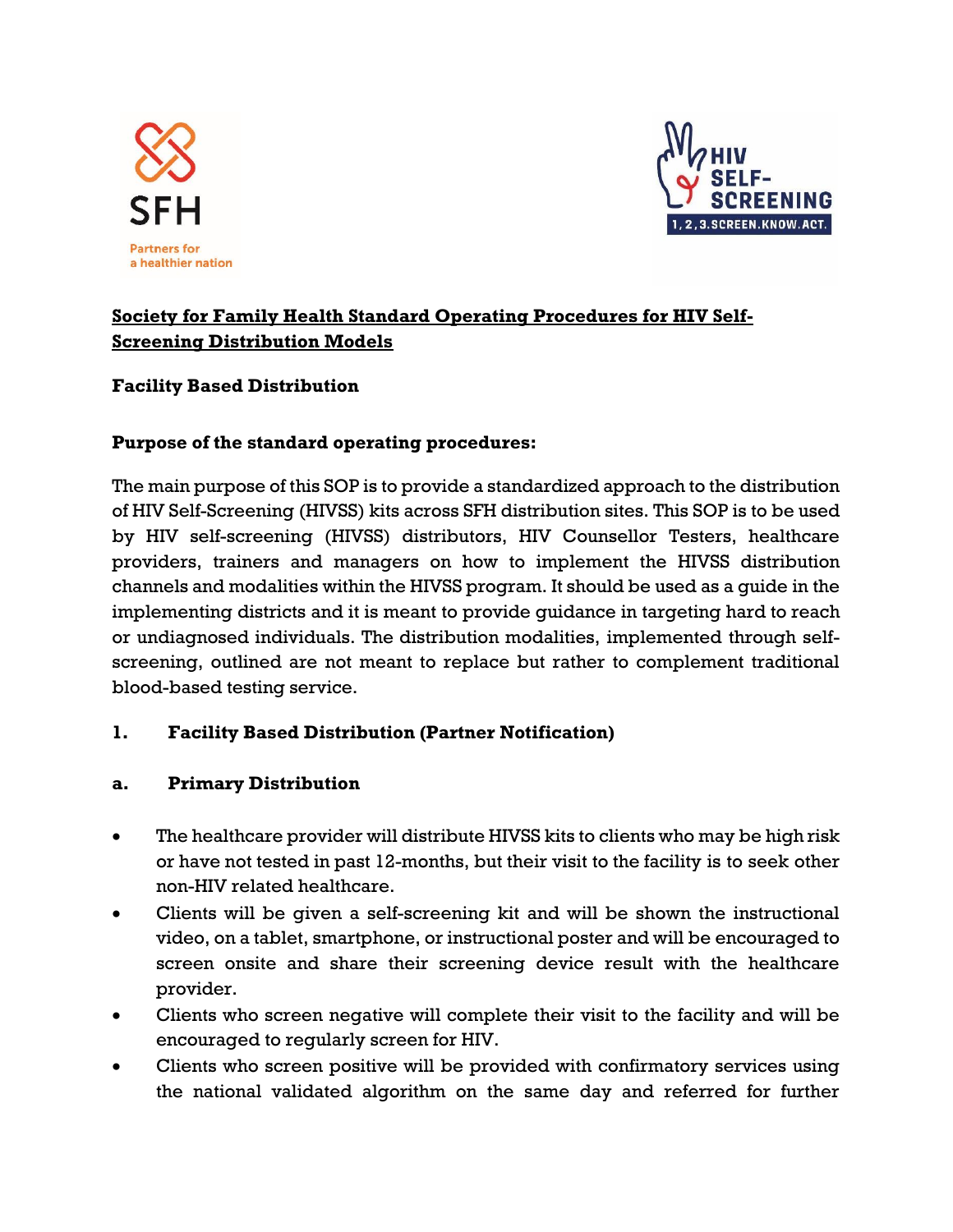



# **Society for Family Health Standard Operating Procedures for HIV Self-Screening Distribution Models**

### **Facility Based Distribution**

#### **Purpose of the standard operating procedures:**

The main purpose of this SOP is to provide a standardized approach to the distribution of HIV Self-Screening (HIVSS) kits across SFH distribution sites. This SOP is to be used by HIV self-screening (HIVSS) distributors, HIV Counsellor Testers, healthcare providers, trainers and managers on how to implement the HIVSS distribution channels and modalities within the HIVSS program. It should be used as a guide in the implementing districts and it is meant to provide guidance in targeting hard to reach or undiagnosed individuals. The distribution modalities, implemented through selfscreening, outlined are not meant to replace but rather to complement traditional blood-based testing service.

### **1. Facility Based Distribution (Partner Notification)**

### **a. Primary Distribution**

- The healthcare provider will distribute HIVSS kits to clients who may be high risk or have not tested in past 12-months, but their visit to the facility is to seek other non-HIV related healthcare.
- Clients will be given a self-screening kit and will be shown the instructional video, on a tablet, smartphone, or instructional poster and will be encouraged to screen onsite and share their screening device result with the healthcare provider.
- Clients who screen negative will complete their visit to the facility and will be encouraged to regularly screen for HIV.
- Clients who screen positive will be provided with confirmatory services using the national validated algorithm on the same day and referred for further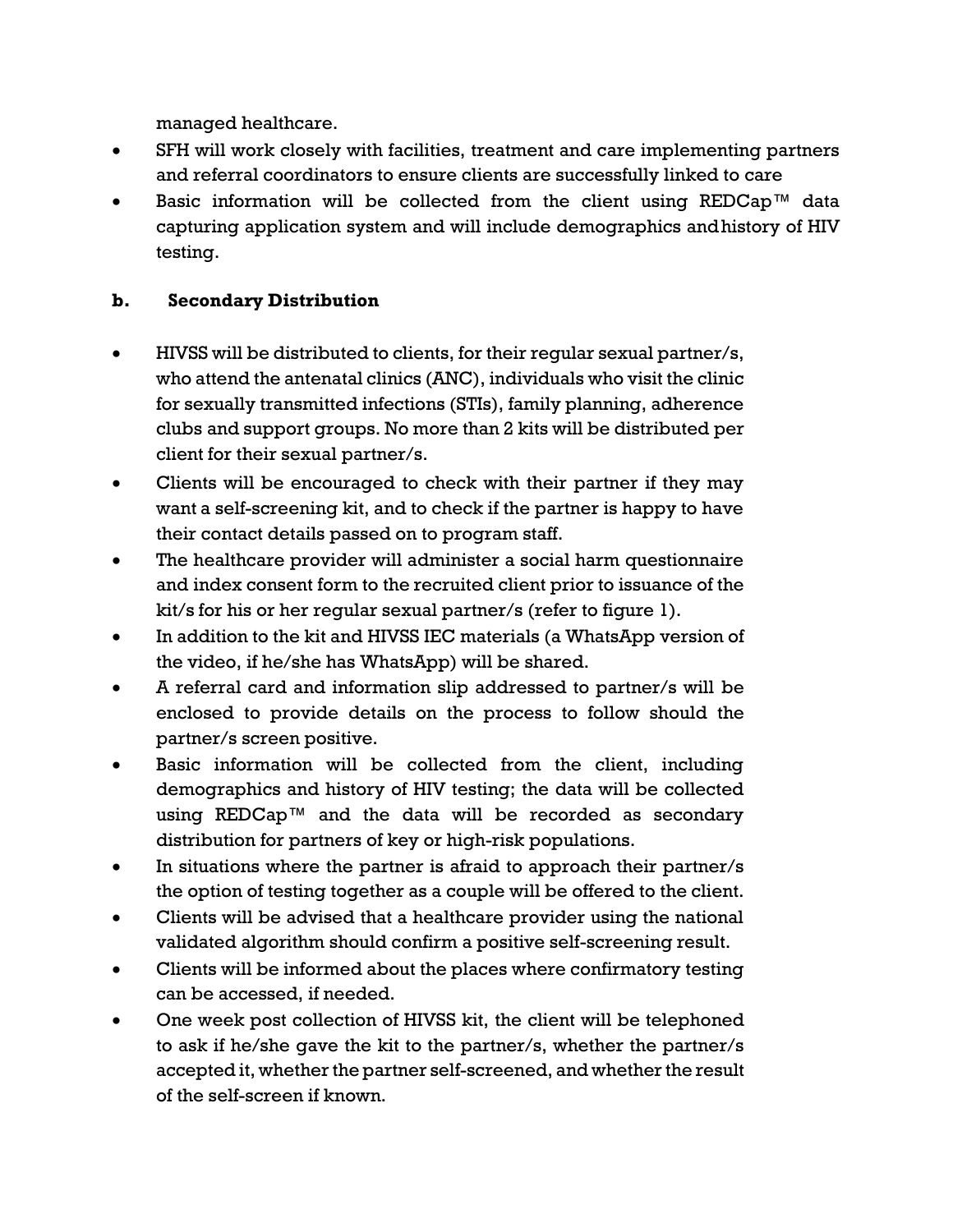managed healthcare.

- SFH will work closely with facilities, treatment and care implementing partners and referral coordinators to ensure clients are successfully linked to care
- Basic information will be collected from the client using REDCap™ data capturing application system and will include demographics andhistory of HIV testing.

## **b. Secondary Distribution**

- HIVSS will be distributed to clients, for their regular sexual partner/s, who attend the antenatal clinics (ANC), individuals who visit the clinic for sexually transmitted infections (STIs), family planning, adherence clubs and support groups. No more than 2 kits will be distributed per client for their sexual partner/s.
- Clients will be encouraged to check with their partner if they may want a self-screening kit, and to check if the partner is happy to have their contact details passed on to program staff.
- The healthcare provider will administer a social harm questionnaire and index consent form to the recruited client prior to issuance of the kit/s for his or her regular sexual partner/s (refer to figure 1).
- In addition to the kit and HIVSS IEC materials (a WhatsApp version of the video, if he/she has WhatsApp) will be shared.
- A referral card and information slip addressed to partner/s will be enclosed to provide details on the process to follow should the partner/s screen positive.
- Basic information will be collected from the client, including demographics and history of HIV testing; the data will be collected using REDCap™ and the data will be recorded as secondary distribution for partners of key or high-risk populations.
- In situations where the partner is afraid to approach their partner/s the option of testing together as a couple will be offered to the client.
- Clients will be advised that a healthcare provider using the national validated algorithm should confirm a positive self-screening result.
- Clients will be informed about the places where confirmatory testing can be accessed, if needed.
- One week post collection of HIVSS kit, the client will be telephoned to ask if he/she gave the kit to the partner/s, whether the partner/s accepted it, whether the partner self-screened, and whether the result of the self-screen if known.